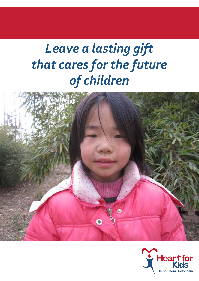# *Leave a lasting gift that cares for the future of children*



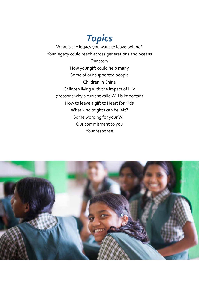*Topics*

What is the legacy you want to leave behind? Your legacy could reach across generations and oceans Our story How your gift could help many Some of our supported people Children in China Children living with the impact of HIV 7 reasons why a current valid Will is important How to leave a gift to Heart for Kids What kind of gifts can be left? Some wording for your Will Our commitment to you Your response

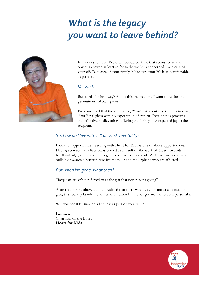# *What is the legacy you want to leave behind?*



It is a question that I've often pondered. One that seems to have an obvious answer, at least as far as the world is concerned. Take care of yourself. Take care of your family. Make sure your life is as comfortable as possible.

### *Me-First.*

But is this the best way? And is this the example I want to set for the generations following me?

I'm convinced that the alternative, 'You-First' mentality, is the better way. 'You-First' gives with no expectation of return. 'You-first' is powerful and effective in alleviating suffering and bringing unexpected joy to the recipient.

### *So, how do I live with a 'You-First' mentality?*

I look for opportunities. Serving with Heart for Kids is one of those opportunities. Having seen so many lives transformed as a result of the work of Heart for Kids, I felt thankful, grateful and privileged to be part of this work. At Heart for Kids, we are building towards a better future for the poor and the orphans who are afflicted.

#### *But when I'm gone, what then?*

"Bequests are often referred to as the gift that never stops giving"

After reading the above quote, I realised that there was a way for me to continue to give, to show my family my values, even when I'm no longer around to do it personally.

Will you consider making a bequest as part of your Will?

Ken Lee, Chairman of the Board **Heart for Kids**

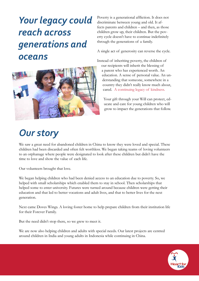# *Your legacy could reach across generations and oceans*



Poverty is a generational affliction. It does not discriminate between young and old. It affects parents and children – and then, as those children grow up, their children. But the poverty cycle doesn't have to continue indefinitely through the generations of a family.

A single act of generosity can reverse the cycle.

Instead of inheriting poverty, the children of our recipients will inherit the blessing of a parent who has experienced worth. An education. A sense of personal value. An understanding that someone, somewhere in a country they didn't really know much about, cared. A continuing legacy of kindness.

Your gift through your Will can protect, educate and care for young children who will grow to impact the generations that follow.

## *Our story*

We saw a great need for abandoned children in China to know they were loved and special. These children had been discarded and often felt worthless. We began taking teams of loving volunteers to an orphanage where people were designated to look after these children but didn't have the time to love and show the value of each life.

Our volunteers brought that love.

We began helping children who had been denied access to an education due to poverty. So, we helped with small scholarships which enabled them to stay in school. Then scholarships that helped some to enter university. Futures were turned around because children were getting their education and that led to better vocations and adult lives, and that to better lives for the next generation.

Next came Doves Wings. A loving foster home to help prepare children from their institution life for their Forever Family.

But the need didn't stop there, so we grew to meet it.

We are now also helping children and adults with special needs. Our latest projects are centred around children in India and young adults in Indonesia while continuing in China.

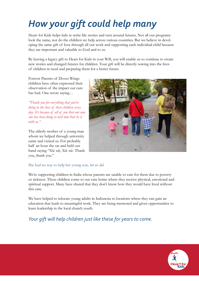# *How your gift could help many*

Heart for Kids helps kids re-write life stories and turn around futures. Not all our programs look the same, nor do the children we help across various countries. But we believe in developing the same gift of love through all our work and supporting each individual child because they are important and valuable to God and to us.

By leaving a legacy gift to Heart for Kids in your Will, you will enable us to continue to create new stories and changed futures for children. Your gift will be directly sowing into the lives of children in need and preparing them for a better future.

Forever Parents of Doves Wings children have often expressed their observation of the impact our care has had. One wrote saying…

*"Thank you for everything that you're doing in the lives of these children every day. It's because of all of you that our new son has been doing so well now that he is with us."* 

The elderly mother of a young man whom we helped through university came and visited us. For probably half an hour she sat and held our hand saying "Xiè xiè, Xiè xiè. Thank you, thank you."



#### She had no way to help her young son, *but we did.*

We're supporting children in India whose parents are unable to care for them due to poverty or sickness. These children come to our care home where they receive physical, emotional and spiritual support. Many have shared that they don't know how they would have lived without this care.

We have helped to relocate young adults in Indonesia to locations where they can gain an education that leads to meaningful work. They are being mentored and given opportunities to learn leadership in the local church youth.

*Your gift will help children just like these for years to come.*

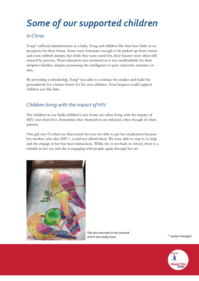# *Some of our supported children*

## *In China*

Yong\* suffered abandonment as a baby. Yong and children like him have little or no prospects for their future. Some were fortunate enough to be picked up from streets and even rubbish dumps, but while they were cared for, their futures were often still marred by poverty. Their education was restricted as it was unaffordable for their adoptive families, despite possessing the intelligence to pass university entrance exams.

By providing a scholarship, Yong\* was able to continue his studies and build the groundwork for a better future for his own children. Your bequest could support children just like him.

## *Children living with the impact of HIV*

The children in our India children's care home are often living with the impact of HIV over their lives. Sometimes they themselves are infected, often though it's their parents.

One girl was 15 when we discovered she was not able to get her medication because her mother, who also HIV+, could not afford them. We were able to step in to help and the change in her has been miraculous. While she is not back in school, there is a twinkle in her eye and she is engaging with people again through her art.



*She has returned to her artwork which she really loves*

\* *names changed*

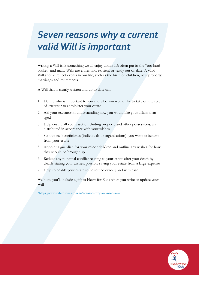# *77**77**77**7<i>7**77**77* **<b>7** *7<i>7 77 7<i>7 77 7<i>7 77 7<i>7 7<i>7*</del> *7<i>7 7<i>7 7<i>7*</del> *7<i>7 7<i>7 7<i>7 7<i>7*</del> *7<i>7 7<i>7*</del> *7<i>7 7<i>7*</del> *7<i>7<i>8 7<i>7 Seven reasons why a current valid Will is important*

Writing a Will isn't something we all enjoy doing. It's often put in the "too hard basket" and many Wills are either non-existent or vastly out of date. A valid Will should reflect events in our life, such as the birth of children, new property, marriages and retirements.

A Will that is clearly written and up to date can:

- 1. Define who is important to you and who you would like to take on the role of executor to administer your estate
- 2. Aid your executor in understanding how you would like your affairs managed
- 3. Help ensure all your assets, including property and other possessions, are distributed in accordance with your wishes
- 4. Set out the beneficiaries (individuals or organisations), you want to benefit from your estate
- 5. Appoint a guardian for your minor children and outline any wishes for how they should be brought up
- 6. Reduce any potential conflict relating to your estate after your death by clearly stating your wishes, possibly saving your estate from a large expense
- 7. Help to enable your estate to be settled quickly and with ease.

We hope you'll include a gift to Heart for Kids when you write or update your Will

\*https://www.statetrustees.com.au/7-reasons-why-you-need-a-will

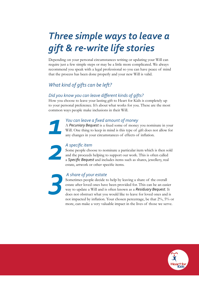# *Three simple ways to leave a gift & re-write life stories*

Depending on your personal circumstances writing or updating your Will can require just a few simple steps or may be a little more complicated. We always recommend you speak with a legal professional so you can have peace of mind that the process has been done properly and your new Will is valid.

## *What kind of gifts can be left?*

## *Did you know you can leave different kinds of gifts?*

How you choose to leave your lasting gift to Heart for Kids is completely up to your personal preference. It's about what works for you. These are the most common ways people make inclusions in their Will. *1*

## *You can leave a fixed amount of money*

A *Pecuniary Bequest* is a fixed some of money you nominate in your Will. One thing to keep in mind is this type of gift does not allow for any changes in your circumstances of effects of inflation.

#### *A specific item*

Some people choose to nominate a particular item which is then sold and the proceeds helping to support our work. This is often called a *Specific Bequest* and includes items such as shares, jewellery, real estate, artwork or other specific items.

### *A share of your estate*

Sometimes people decide to help by leaving a share of the overall estate after loved ones have been provided for. This can be an easier way to update a Will and is often known as a *Residuary Bequest*. It does not obstruct what you would like to leave for loved ones and is not impacted by inflation. Your chosen percentage, be that 2%, 5% or more, can make a very valuable impact in the lives of those we serve.



*3*

*2*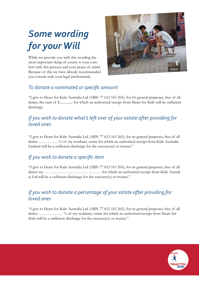# *Some wording for your Will*

While we provide you with this wording the most important thing of course is your comfort with this process and your peace of mind. Because of this we have already recommended you consult with your legal professional.



## *To donate a nominated or specific amount*

"I give to Heart for Kids Australia Ltd (ABN 77 612 163 265), for it's general purposes, free of all duties, the sum of \$................. for which an authorised receipt from Heart for Kids will be sufficient discharge

## *If you wish to donate what's left over of your estate after providing for loved ones*

"I give to Heart for Kids Australia Ltd (ABN 77 612 163 265), for its general purposes, free of all duties ……………% of my residuary estate for which an authorised receipt from Kids Australia Limited will be a sufficient discharge for the executor(s) or trustee."

## *If you wish to donate a specific item*

"I give to Heart for Kids Australia Ltd (ABN 77 612 163 265), for its general purposes, free of all duties my ……………………………………. for which an authorised receipt from Kids Australia Ltd will be a sufficient discharge for the executor(s) or trustee."

## *If you wish to donate a percentage of your estate after providing for loved ones*

"I give to Heart for Kids Australia Ltd (ABN 77 612 163 265), for its general purposes, free of all duties ……………… % of my residuary estate for which an authorised receipt from Heart for Kids will be a sufficient discharge for the executor(s) or trustee."

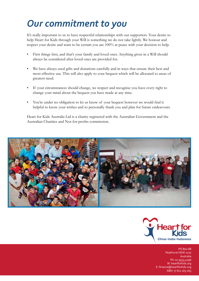# *Our commitment to you*

It's really important to us to have respectful relationships with our supporters. Your desire to help Heart for Kids through your Will is something we do not take lightly. We honour and respect your desire and want to be certain you are 100% at peace with your decision to help.

- First things first, and that's your family and loved ones. Anything given in a Will should always be considered after loved ones are provided for.
- We have always used gifts and donations carefully and in ways that ensure their best and most effective use. This will also apply to your bequest which will be allocated to areas of greatest need.
- If your circumstances should change, we respect and recognise you have every right to change your mind about the bequest you have made at any time.
- You're under no obligation to let us know of your bequest however we would find it helpful to know your wishes and to personally thank you and plan for future endeavours.

Heart for Kids Australia Ltd is a charity registered with the Australian Government and the Australian Charities and Not-for-profits commission.





 PO Box 88 Peakhurst NSW 2210 Australia Ph: 02 9533 4096 W: heartforkids.org E: finance@heartforkids.org ABN 77 612 163 265